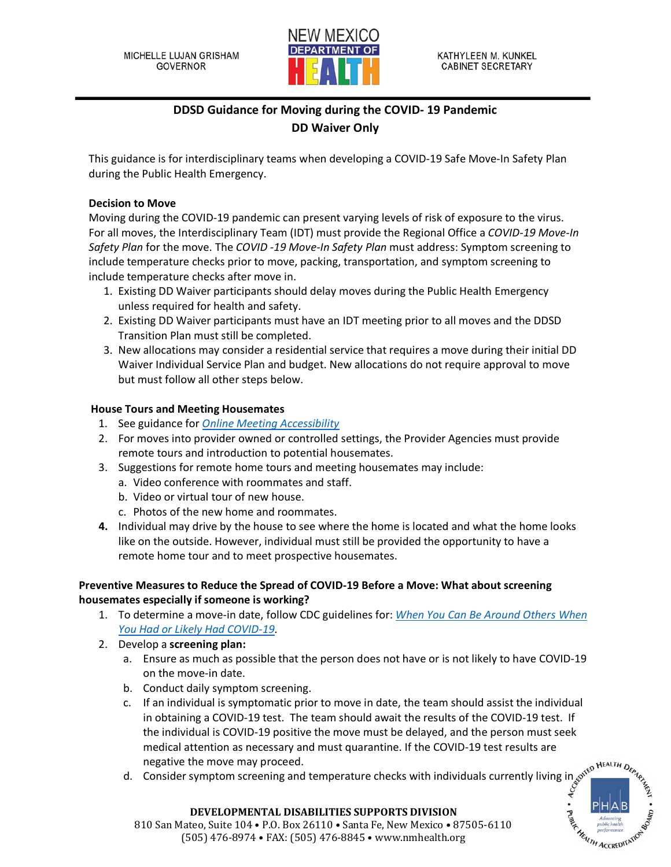

# **DDSD Guidance for Moving during the COVID- 19 Pandemic DD Waiver Only**

This guidance is for interdisciplinary teams when developing a COVID-19 Safe Move-In Safety Plan during the Public Health Emergency.

#### **Decision to Move**

Moving during the COVID-19 pandemic can present varying levels of risk of exposure to the virus. For all moves, the Interdisciplinary Team (IDT) must provide the Regional Office a *COVID-19 Move-In Safety Plan* for the move. The *COVID -19 Move-In Safety Plan* must address: Symptom screening to include temperature checks prior to move, packing, transportation, and symptom screening to include temperature checks after move in.

- 1. Existing DD Waiver participants should delay moves during the Public Health Emergency unless required for health and safety.
- 2. Existing DD Waiver participants must have an IDT meeting prior to all moves and the DDSD Transition Plan must still be completed.
- 3. New allocations may consider a residential service that requires a move during their initial DD Waiver Individual Service Plan and budget. New allocations do not require approval to move but must follow all other steps below.

#### **House Tours and Meeting Housemates**

- 1. See guidance for *[Online Meeting Accessibility](https://www.internetsociety.org/blog/2020/07/are-your-virtual-meetings-accessible-for-people-with-disabilities-start-with-this-checklist/)*
- 2. For moves into provider owned or controlled settings, the Provider Agencies must provide remote tours and introduction to potential housemates.
- 3. Suggestions for remote home tours and meeting housemates may include:
	- a. Video conference with roommates and staff.
	- b. Video or virtual tour of new house.
	- c. Photos of the new home and roommates.
- **4.** Individual may drive by the house to see where the home is located and what the home looks like on the outside. However, individual must still be provided the opportunity to have a remote home tour and to meet prospective housemates.

#### **Preventive Measures to Reduce the Spread of COVID-19 Before a Move: What about screening housemates especially if someone is working?**

- 1. To determine a move-in date, follow CDC guidelines for: *[When You Can Be Around Others When](https://www.cdc.gov/coronavirus/2019-ncov/if-you-are-sick/end-home-isolation.html)  [You Had or Likely Had COVID-19.](https://www.cdc.gov/coronavirus/2019-ncov/if-you-are-sick/end-home-isolation.html)*
- 2. Develop a **screening plan:**
	- a. Ensure as much as possible that the person does not have or is not likely to have COVID-19 on the move-in date.
	- b. Conduct daily symptom screening.
	- c. If an individual is symptomatic prior to move in date, the team should assist the individual in obtaining a COVID-19 test. The team should await the results of the COVID-19 test. If the individual is COVID-19 positive the move must be delayed, and the person must seek medical attention as necessary and must quarantine. If the COVID-19 test results are negative the move may proceed.
	- d. Consider symptom screening and temperature checks with individuals currently living in



#### **DEVELOPMENTAL DISABILITIES SUPPORTS DIVISION DEVELOPMENTAL DISABILITIES SUPPORTS DIVISION**

Mateo, Suite 104 • P.O. Box 26110 • Santa Fe, New Mexico • 87505-6110 810 San Mateo, Suite 104 • P.O. Box 26110 • Santa Fe, New Mexico • 87505-6110 (505) 476-8974 • FAX: (505) 476-8845 • www.nmhealth.org (505) 476-8974 • FAX: (505) 476-8845 • www.nmhealth.org